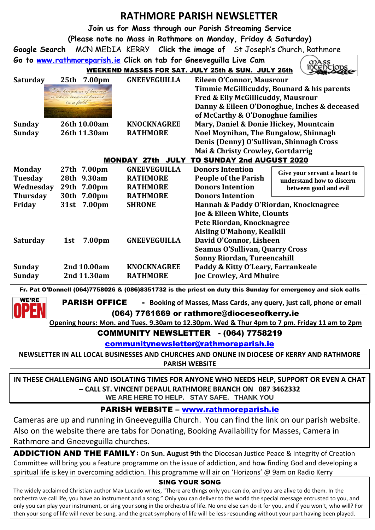# **RATHMORE PARISH NEWSLETTER**

ന

**Join us for Mass through our Parish Streaming Service**

**(Please note no Mass in Rathmore on Monday, Friday & Saturday)**

**Google Search** MCN MEDIA KERRY **Click the image of** St Joseph's Church, Rathmore

**Go to [www.rathmoreparish.ie](http://www.rathmoreparish.ie/) Click on tab for Gneeveguilla Live Cam** WEEKEND MASSES FOR SAT. JULY 25th & SUN. JULY 26th

**Saturday 25th 7.00pm GNEEVEGUILLA Eileen O'Connor, Mausrour Timmie McGillicuddy, Bounard & his parents** "The kingdom of heave. is like a treasure buried **Fred & Eily McGillicuddy, Mausrour** in a field. **Danny & Eileen O'Donoghue, Inches & deceased of McCarthy & O'Donoghue families Sunday 26th 10.00am KNOCKNAGREE Mary, Daniel & Donie Hickey, Mountcain Sunday 26th 11.30am RATHMORE Noel Moynihan, The Bungalow, Shinnagh Denis (Denny) O'Sullivan, Shinnagh Cross Mai & Christy Crowley, Gortdarrig** MONDAY 27th JULY TO SUNDAY 2nd AUGUST 2020 **Monday 27th 7.00pm GNEEVEGUILLA Donors Intention Give your servant a heart to Tuesday 28th 9.30am RATHMORE People of the Parish understand how to discern Wednesday 29th 7.00pm RATHMORE Donors Intention between good and evilThursday 30th 7.00pm RATHMORE Donors Intention Friday 31st 7.00pm SHRONE Hannah & Paddy O'Riordan, Knocknagree Joe & Eileen White, Clounts Pete Riordan, Knocknagree Aisling O'Mahony, Kealkill Saturday 1st 7.00pm GNEEVEGUILLA David O'Connor, Lisheen Seamus O'Sullivan, Quarry Cross Sonny Riordan, Tureencahill Sunday 2nd 10.00am KNOCKNAGREE Paddy & Kitty O'Leary, Farrankeale Sunday 2nd 11.30am RATHMORE Joe Crowley, Ard Mhuire**

Fr. Pat O'Donnell (064)7758026 & (086)8351732 is the priest on duty this Sunday for emergency and sick calls

**WE'RE | PARISH OFFICE** - Booking of Masses, Mass Cards, any query, just call, phone or email (064) 7761669 or rathmore@dioceseofkerry.ie

 **Opening hours: Mon. and Tues. 9.30am to 12.30pm. Wed & Thur 4pm to 7 pm. Friday 11 am to 2pm**

COMMUNITY NEWSLETTER - (064) 7758219

[communitynewsletter@rathmoreparish.ie](mailto:communitynewsletter@rathmoreparish.ie)

**NEWSLETTER IN ALL LOCAL BUSINESSES AND CHURCHES AND ONLINE IN DIOCESE OF KERRY AND RATHMORE PARISH WEBSITE**

**IN THESE CHALLENGING AND ISOLATING TIMES FOR ANYONE WHO NEEDS HELP, SUPPORT OR EVEN A CHAT – CALL ST. VINCENT DEPAUL RATHMORE BRANCH ON 087 3462332 WE ARE HERE TO HELP. STAY SAFE. THANK YOU**

# PARISH WEBSITE – [www.rathmoreparish.ie](http://www.rathmoreparish.ie/)

Cameras are up and running in Gneeveguilla Church. You can find the link on our parish website. Also on the website there are tabs for Donating, Booking Availability for Masses, Camera in Rathmore and Gneeveguilla churches.

ADDICTION AND THE FAMILY**:** On **Sun. August 9th** the Diocesan Justice Peace & Integrity of Creation Committee will bring you a feature programme on the issue of addiction, and how finding God and developing a spiritual life is key in overcoming addiction. This programme will air on 'Horizons' @ 9am on Radio Kerry

#### SING YOUR SONG

The widely acclaimed Christian author Max Lucado writes, "There are things only you can do, and you are alive to do them. In the orchestra we call life, you have an instrument and a song." Only you can deliver to the world the special message entrusted to you, and only you can play your instrument, or sing your song in the orchestra of life. No one else can do it for you, and if you won't, who will? For then your song of life will never be sung, and the great symphony of life will be less resounding without your part having been played.